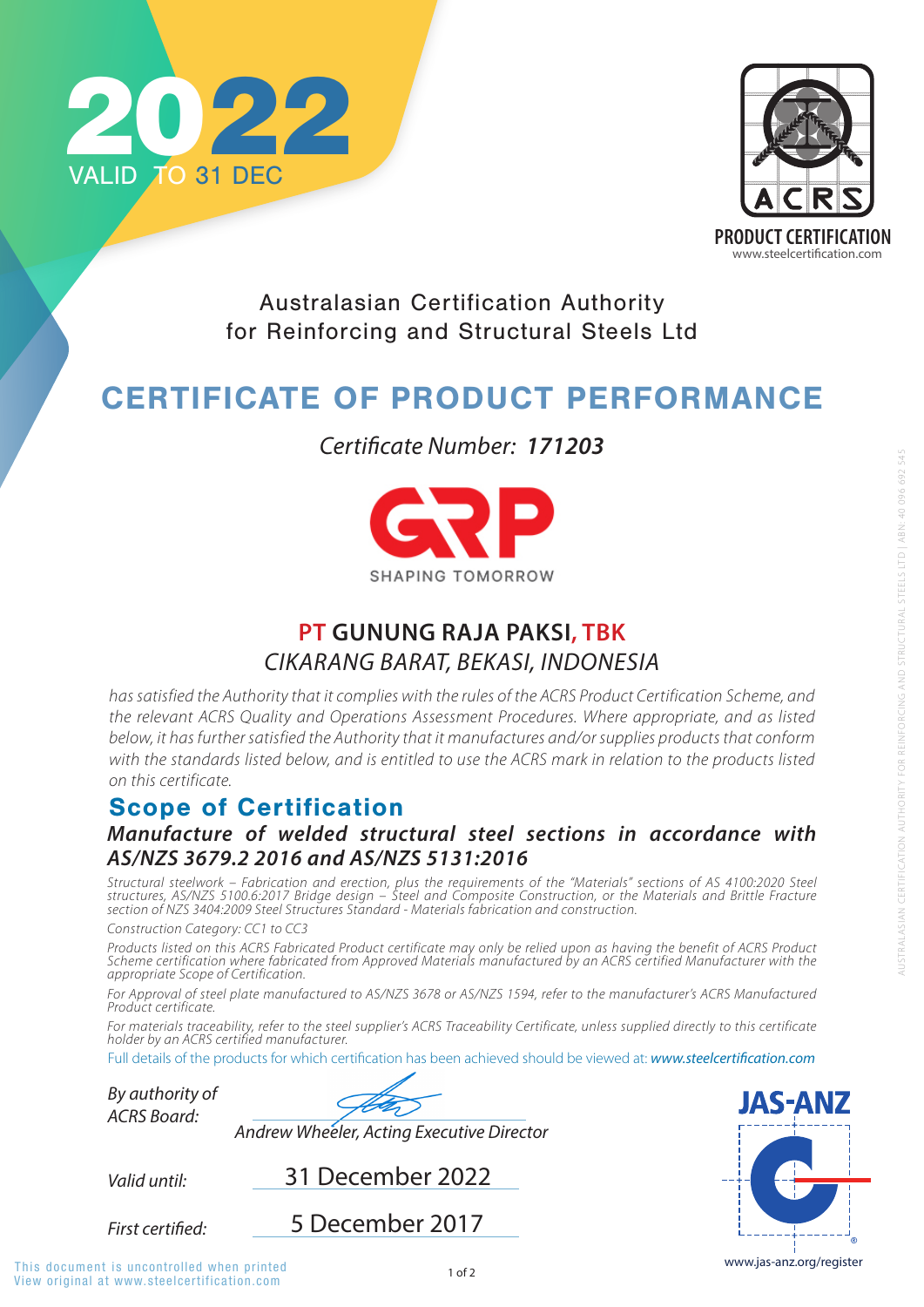

*has satisfied the Authority that it complies with the rules of the ACRS Product Certification Scheme, and the relevant ACRS Quality and Operations Assessment Procedures. Where appropriate, and as listed below, it has further satisfied the Authority that it manufactures and/or supplies products that conform*  with the standards listed below, and is entitled to use the ACRS mark in relation to the products listed *on this certificate.*

www.jas-anz.org/register

**JAS-ANZ** 

## Scope of Certification



Australasian Certification Authority for Reinforcing and Structural Steels Ltd

# CERTIFICATE OF PRODUCT PERFORMANCE

*Manufacture of welded structural steel sections in accordance with AS/NZS 3679.2 2016 and AS/NZS 5131:2016*

*Valid until: By authority of ACRS Board:* **First certified:** 31 December 2022 1 of 2 View original at www.steelcertification.com This document is uncontrolled when printed *Andrew Wheeler, Acting Executive Director* 5 December 2017

*Structural steelwork – Fabrication and erection, plus the requirements of the "Materials" sections of AS 4100:2020 Steel structures, AS/NZS 5100.6:2017 Bridge design – Steel and Composite Construction, or the Materials and Brittle Fracture section of NZS 3404:2009 Steel Structures Standard - Materials fabrication and construction.* 

*Construction Category: CC1 to CC3* 

*Products listed on this ACRS Fabricated Product certificate may only be relied upon as having the benefit of ACRS Product Scheme certification where fabricated from Approved Materials manufactured by an ACRS certified Manufacturer with the appropriate Scope of Certification.* 

*For Approval of steel plate manufactured to AS/NZS 3678 or AS/NZS 1594, refer to the manufacturer's ACRS Manufactured Product certificate.* 

*For materials traceability, refer to the steel supplier's ACRS Traceability Certificate, unless supplied directly to this certificate holder by an ACRS certified manufacturer.*

Full details of the products for which certification has been achieved should be viewed at: **www.steelcertification.com** 

*Certificate Number: 171203*



## **PT GUNUNG RAJA PAKSI, TBK** *CIKARANG BARAT, BEKASI, INDONESIA*